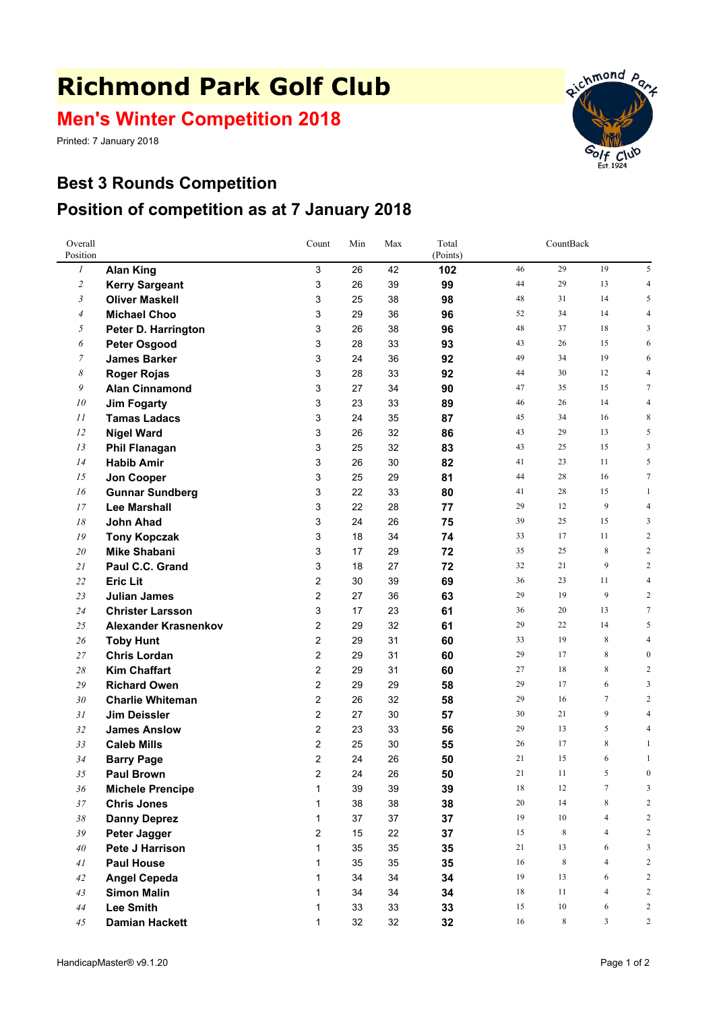## **Richmond Park Golf Club**

**Men's Winter Competition 2018**

Printed: 7 January 2018



## **Best 3 Rounds Competition Position of competition as at 7 January 2018**

| Overall<br>Position |                             | Count          | Min | Max | Total<br>(Points) | CountBack |         |                |                  |
|---------------------|-----------------------------|----------------|-----|-----|-------------------|-----------|---------|----------------|------------------|
| $\boldsymbol{l}$    | <b>Alan King</b>            | 3              | 26  | 42  | 102               | 46        | 29      | 19             | 5                |
| $\overline{2}$      | <b>Kerry Sargeant</b>       | 3              | 26  | 39  | 99                | 44        | 29      | 13             | $\overline{4}$   |
| $\mathfrak{Z}$      | <b>Oliver Maskell</b>       | 3              | 25  | 38  | 98                | 48        | 31      | 14             | 5                |
| $\overline{4}$      | <b>Michael Choo</b>         | 3              | 29  | 36  | 96                | 52        | 34      | 14             | $\overline{4}$   |
| 5                   | Peter D. Harrington         | 3              | 26  | 38  | 96                | 48        | 37      | 18             | 3                |
| 6                   | <b>Peter Osgood</b>         | 3              | 28  | 33  | 93                | 43        | 26      | 15             | 6                |
| 7                   | <b>James Barker</b>         | 3              | 24  | 36  | 92                | 49        | 34      | 19             | 6                |
| 8                   | <b>Roger Rojas</b>          | 3              | 28  | 33  | 92                | 44        | 30      | 12             | $\overline{4}$   |
| 9                   | <b>Alan Cinnamond</b>       | 3              | 27  | 34  | 90                | 47        | 35      | 15             | $\overline{7}$   |
| 10                  | <b>Jim Fogarty</b>          | 3              | 23  | 33  | 89                | 46        | 26      | 14             | $\overline{4}$   |
| 11                  | <b>Tamas Ladacs</b>         | 3              | 24  | 35  | 87                | 45        | 34      | 16             | 8                |
| 12                  | <b>Nigel Ward</b>           | 3              | 26  | 32  | 86                | 43        | 29      | 13             | 5                |
| 13                  | <b>Phil Flanagan</b>        | 3              | 25  | 32  | 83                | 43        | 25      | 15             | 3                |
| 14                  | <b>Habib Amir</b>           | 3              | 26  | 30  | 82                | 41        | 23      | 11             | 5                |
| 15                  | Jon Cooper                  | 3              | 25  | 29  | 81                | 44        | 28      | 16             | $\tau$           |
| 16                  | <b>Gunnar Sundberg</b>      | 3              | 22  | 33  | 80                | 41        | 28      | 15             | $\mathbf{1}$     |
| 17                  | <b>Lee Marshall</b>         | 3              | 22  | 28  | 77                | 29        | 12      | 9              | $\overline{4}$   |
| 18                  | John Ahad                   | 3              | 24  | 26  | 75                | 39        | 25      | 15             | 3                |
| 19                  | <b>Tony Kopczak</b>         | 3              | 18  | 34  | 74                | 33        | 17      | 11             | $\overline{c}$   |
| 20                  | <b>Mike Shabani</b>         | 3              | 17  | 29  | 72                | 35        | 25      | 8              | $\overline{2}$   |
| 21                  | Paul C.C. Grand             | 3              | 18  | 27  | 72                | 32        | 21      | 9              | $\overline{c}$   |
| 22                  | <b>Eric Lit</b>             | 2              | 30  | 39  | 69                | 36        | 23      | 11             | $\overline{4}$   |
| 23                  | <b>Julian James</b>         | 2              | 27  | 36  | 63                | 29        | 19      | 9              | $\overline{2}$   |
| 24                  | <b>Christer Larsson</b>     | 3              | 17  | 23  | 61                | 36        | 20      | 13             | $\overline{7}$   |
| 25                  | <b>Alexander Krasnenkov</b> | 2              | 29  | 32  | 61                | 29        | 22      | 14             | 5                |
| 26                  | <b>Toby Hunt</b>            | 2              | 29  | 31  | 60                | 33        | 19      | 8              | $\overline{4}$   |
| 27                  | <b>Chris Lordan</b>         | 2              | 29  | 31  | 60                | 29        | 17      | $\,$ 8 $\,$    | $\boldsymbol{0}$ |
| 28                  | <b>Kim Chaffart</b>         | 2              | 29  | 31  | 60                | 27        | 18      | 8              | $\overline{2}$   |
| 29                  | <b>Richard Owen</b>         | 2              | 29  | 29  | 58                | 29        | 17      | 6              | 3                |
| 30                  | <b>Charlie Whiteman</b>     | 2              | 26  | 32  | 58                | 29        | 16      | $\tau$         | $\overline{2}$   |
| 31                  | <b>Jim Deissler</b>         | 2              | 27  | 30  | 57                | 30        | 21      | 9              | 4                |
| 32                  | <b>James Anslow</b>         | 2              | 23  | 33  | 56                | 29        | 13      | 5              | 4                |
| 33                  | <b>Caleb Mills</b>          | 2              | 25  | 30  | 55                | 26        | 17      | 8              | 1                |
| 34                  | <b>Barry Page</b>           | $\overline{2}$ | 24  | 26  | 50                | 21        | 15      | 6              | 1                |
| 35                  | <b>Paul Brown</b>           | $\overline{2}$ | 24  | 26  | 50                | 21        | 11      | 5              | $\mathbf{0}$     |
| 36                  | <b>Michele Prencipe</b>     | 1              | 39  | 39  | 39                | $18\,$    | 12      | $\tau$         | 3                |
| 37                  | <b>Chris Jones</b>          | 1              | 38  | 38  | 38                | 20        | 14      | 8              | $\overline{c}$   |
| $38\,$              | <b>Danny Deprez</b>         | $\mathbf{1}$   | 37  | 37  | 37                | 19        | 10      | $\overline{4}$ | $\overline{c}$   |
| 39                  | Peter Jagger                | 2              | 15  | 22  | 37                | 15        | $\,8\,$ | $\overline{4}$ | $\overline{c}$   |
| 40                  | Pete J Harrison             | $\mathbf{1}$   | 35  | 35  | 35                | 21        | 13      | 6              | 3                |
| 41                  | <b>Paul House</b>           | 1              | 35  | 35  | 35                | 16        | $\,8\,$ | $\overline{4}$ | $\overline{c}$   |
| 42                  | <b>Angel Cepeda</b>         | 1              | 34  | 34  | 34                | 19        | 13      | 6              | $\overline{c}$   |
| 43                  | <b>Simon Malin</b>          | $\mathbf{1}$   | 34  | 34  | 34                | 18        | 11      | $\overline{4}$ | $\overline{c}$   |
| $44\,$              | <b>Lee Smith</b>            | 1              | 33  | 33  | 33                | 15        | 10      | 6              | $\overline{c}$   |
| 45                  | <b>Damian Hackett</b>       | 1              | 32  | 32  | 32                | $16\,$    | 8       | $\mathbf{3}$   | $\overline{c}$   |